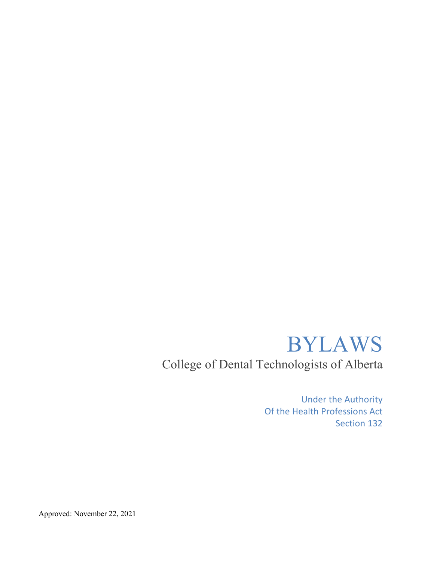# BYLAWS

College of Dental Technologists of Alberta

Under the Authority Of the Health Professions Act Section 132

Approved: November 22, 2021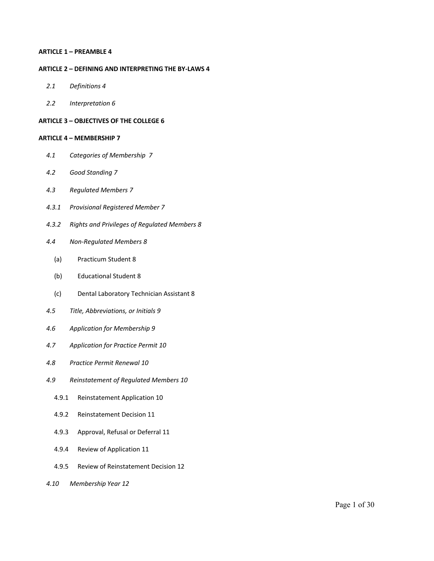#### **ARTICLE 1 – PREAMBLE 4**

#### **ARTICLE 2 – DEFINING AND INTERPRETING THE BY-LAWS 4**

- *2.1 Definitions 4*
- *2.2 Interpretation 6*

### **ARTICLE 3 – OBJECTIVES OF THE COLLEGE 6**

#### **ARTICLE 4 – MEMBERSHIP 7**

- *4.1 Categories of Membership 7*
- *4.2 Good Standing 7*
- *4.3 Regulated Members 7*
- *4.3.1 Provisional Registered Member 7*
- *4.3.2 Rights and Privileges of Regulated Members 8*
- *4.4 Non-Regulated Members 8*
	- (a) Practicum Student 8
	- (b) Educational Student 8
	- (c) Dental Laboratory Technician Assistant 8
- *4.5 Title, Abbreviations, or Initials 9*
- *4.6 Application for Membership 9*
- *4.7 Application for Practice Permit 10*
- *4.8 Practice Permit Renewal 10*
- *4.9 Reinstatement of Regulated Members 10*
	- 4.9.1 Reinstatement Application 10
	- 4.9.2 Reinstatement Decision 11
	- 4.9.3 Approval, Refusal or Deferral 11
	- 4.9.4 Review of Application 11
	- 4.9.5 Review of Reinstatement Decision 12
- *4.10 Membership Year 12*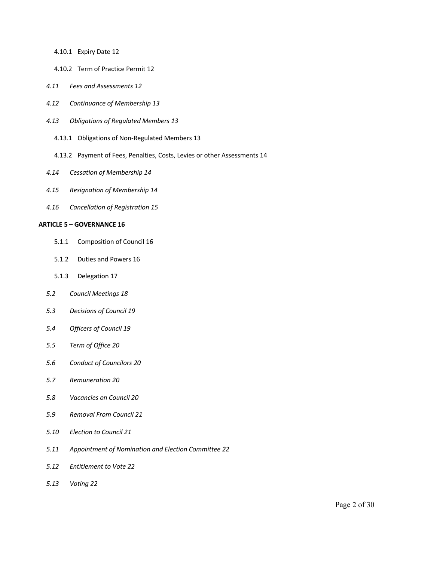- 4.10.1 Expiry Date 12
- 4.10.2 Term of Practice Permit 12
- *4.11 Fees and Assessments 12*
- *4.12 Continuance of Membership 13*
- *4.13 Obligations of Regulated Members 13*
	- 4.13.1 Obligations of Non-Regulated Members 13
	- 4.13.2 Payment of Fees, Penalties, Costs, Levies or other Assessments 14
- *4.14 Cessation of Membership 14*
- *4.15 Resignation of Membership 14*
- *4.16 Cancellation of Registration 15*

#### **ARTICLE 5 – GOVERNANCE 16**

- 5.1.1 Composition of Council 16
- 5.1.2 Duties and Powers 16
- 5.1.3 Delegation 17
- *5.2 Council Meetings 18*
- *5.3 Decisions of Council 19*
- *5.4 Officers of Council 19*
- *5.5 Term of Office 20*
- *5.6 Conduct of Councilors 20*
- *5.7 Remuneration 20*
- *5.8 Vacancies on Council 20*
- *5.9 Removal From Council 21*
- *5.10 Election to Council 21*
- *5.11 Appointment of Nomination and Election Committee 22*
- *5.12 Entitlement to Vote 22*
- *5.13 Voting 22*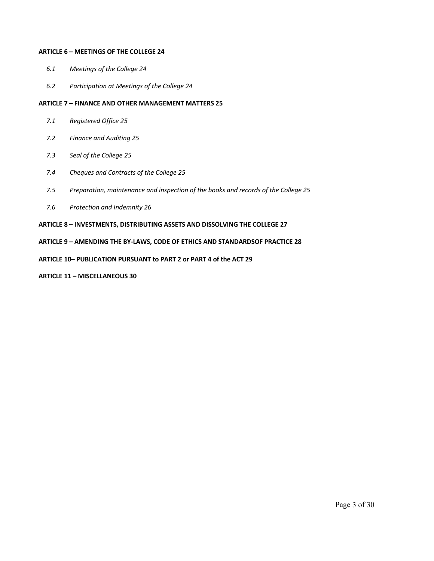#### **ARTICLE 6 – MEETINGS OF THE COLLEGE 24**

- *6.1 Meetings of the College 24*
- *6.2 Participation at Meetings of the College 24*

#### **ARTICLE 7 – FINANCE AND OTHER MANAGEMENT MATTERS 25**

- *7.1 Registered Office 25*
- *7.2 Finance and Auditing 25*
- *7.3 Seal of the College 25*
- *7.4 Cheques and Contracts of the College 25*
- *7.5 Preparation, maintenance and inspection of the books and records of the College 25*
- *7.6 Protection and Indemnity 26*

#### **ARTICLE 8 – INVESTMENTS, DISTRIBUTING ASSETS AND DISSOLVING THE COLLEGE 27**

#### **ARTICLE 9 – AMENDING THE BY-LAWS, CODE OF ETHICS AND STANDARDSOF PRACTICE 28**

### **ARTICLE 10– PUBLICATION PURSUANT to PART 2 or PART 4 of the ACT 29**

#### **ARTICLE 11 – MISCELLANEOUS 30**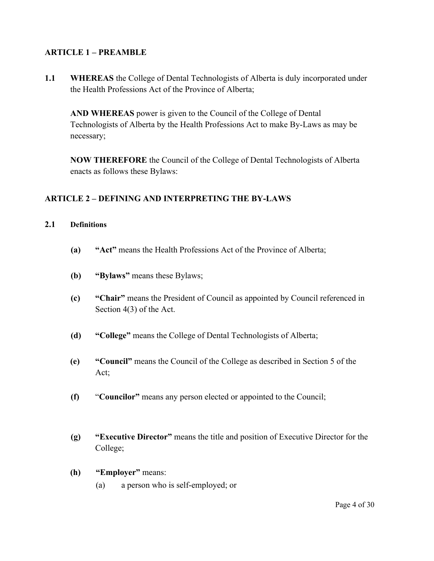# **ARTICLE 1 – PREAMBLE**

**1.1 WHEREAS** the College of Dental Technologists of Alberta is duly incorporated under the Health Professions Act of the Province of Alberta;

**AND WHEREAS** power is given to the Council of the College of Dental Technologists of Alberta by the Health Professions Act to make By-Laws as may be necessary;

**NOW THEREFORE** the Council of the College of Dental Technologists of Alberta enacts as follows these Bylaws:

# **ARTICLE 2 – DEFINING AND INTERPRETING THE BY-LAWS**

# **2.1 Definitions**

- **(a) "Act"** means the Health Professions Act of the Province of Alberta;
- **(b) "Bylaws"** means these Bylaws;
- **(c) "Chair"** means the President of Council as appointed by Council referenced in Section 4(3) of the Act.
- **(d) "College"** means the College of Dental Technologists of Alberta;
- **(e) "Council"** means the Council of the College as described in Section 5 of the Act;
- **(f)** "**Councilor"** means any person elected or appointed to the Council;
- **(g) "Executive Director"** means the title and position of Executive Director for the College;
- **(h) "Employer"** means:
	- (a) a person who is self-employed; or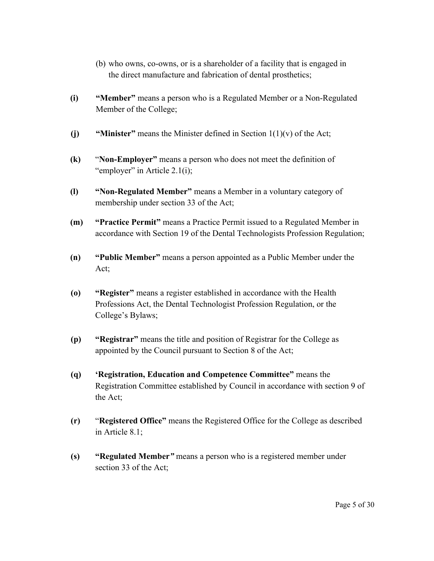- (b) who owns, co-owns, or is a shareholder of a facility that is engaged in the direct manufacture and fabrication of dental prosthetics;
- **(i) "Member"** means a person who is a Regulated Member or a Non-Regulated Member of the College;
- **(j) "Minister"** means the Minister defined in Section 1(1)(v) of the Act;
- **(k)** "**Non-Employer"** means a person who does not meet the definition of "employer" in Article 2.1(i);
- **(l) "Non-Regulated Member"** means a Member in a voluntary category of membership under section 33 of the Act;
- **(m) "Practice Permit"** means a Practice Permit issued to a Regulated Member in accordance with Section 19 of the Dental Technologists Profession Regulation;
- **(n) "Public Member"** means a person appointed as a Public Member under the Act;
- **(o) "Register"** means a register established in accordance with the Health Professions Act, the Dental Technologist Profession Regulation, or the College's Bylaws;
- **(p) "Registrar"** means the title and position of Registrar for the College as appointed by the Council pursuant to Section 8 of the Act;
- **(q) 'Registration, Education and Competence Committee"** means the Registration Committee established by Council in accordance with section 9 of the Act;
- **(r)** "**Registered Office"** means the Registered Office for the College as described in Article 8.1;
- **(s) "Regulated Member***"* means a person who is a registered member under section 33 of the Act;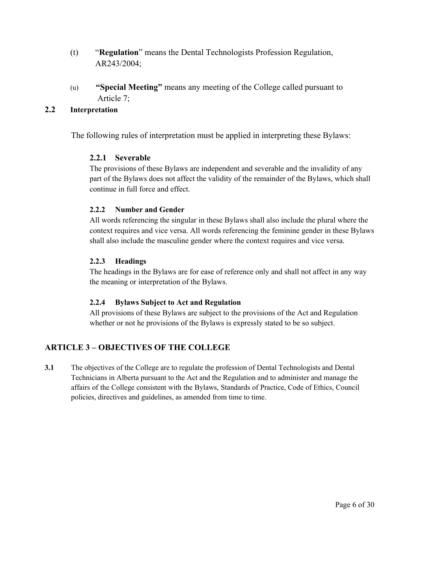- (t) "**Regulation**" means the Dental Technologists Profession Regulation, AR243/2004;
- (u) **"Special Meeting"** means any meeting of the College called pursuant to Article 7;

# **2.2 Interpretation**

The following rules of interpretation must be applied in interpreting these Bylaws:

# **2.2.1 Severable**

The provisions of these Bylaws are independent and severable and the invalidity of any part of the Bylaws does not affect the validity of the remainder of the Bylaws, which shall continue in full force and effect.

# **2.2.2 Number and Gender**

All words referencing the singular in these Bylaws shall also include the plural where the context requires and vice versa. All words referencing the feminine gender in these Bylaws shall also include the masculine gender where the context requires and vice versa.

# **2.2.3 Headings**

The headings in the Bylaws are for ease of reference only and shall not affect in any way the meaning or interpretation of the Bylaws.

# **2.2.4 Bylaws Subject to Act and Regulation**

All provisions of these Bylaws are subject to the provisions of the Act and Regulation whether or not he provisions of the Bylaws is expressly stated to be so subject.

# **ARTICLE 3 – OBJECTIVES OF THE COLLEGE**

**3.1** The objectives of the College are to regulate the profession of Dental Technologists and Dental Technicians in Alberta pursuant to the Act and the Regulation and to administer and manage the affairs of the College consistent with the Bylaws, Standards of Practice, Code of Ethics, Council policies, directives and guidelines, as amended from time to time.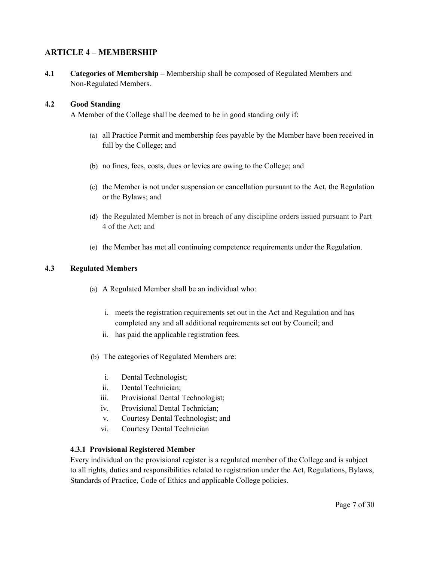# **ARTICLE 4 – MEMBERSHIP**

**4.1 Categories of Membership –** Membership shall be composed of Regulated Members and Non-Regulated Members.

## **4.2 Good Standing**

A Member of the College shall be deemed to be in good standing only if:

- (a) all Practice Permit and membership fees payable by the Member have been received in full by the College; and
- (b) no fines, fees, costs, dues or levies are owing to the College; and
- (c) the Member is not under suspension or cancellation pursuant to the Act, the Regulation or the Bylaws; and
- (d) the Regulated Member is not in breach of any discipline orders issued pursuant to Part 4 of the Act; and
- (e) the Member has met all continuing competence requirements under the Regulation.

## **4.3 Regulated Members**

- (a) A Regulated Member shall be an individual who:
	- i. meets the registration requirements set out in the Act and Regulation and has completed any and all additional requirements set out by Council; and
	- ii. has paid the applicable registration fees.
- (b) The categories of Regulated Members are:
	- i. Dental Technologist;
	- ii. Dental Technician;
	- iii. Provisional Dental Technologist;
	- iv. Provisional Dental Technician;
	- v. Courtesy Dental Technologist; and
	- vi. Courtesy Dental Technician

### **4.3.1 Provisional Registered Member**

Every individual on the provisional register is a regulated member of the College and is subject to all rights, duties and responsibilities related to registration under the Act, Regulations, Bylaws, Standards of Practice, Code of Ethics and applicable College policies.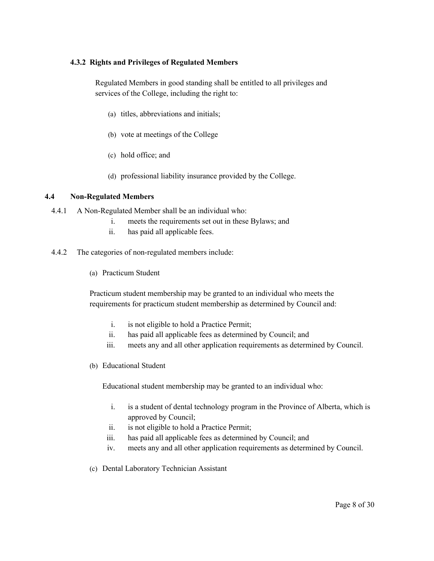# **4.3.2 Rights and Privileges of Regulated Members**

Regulated Members in good standing shall be entitled to all privileges and services of the College, including the right to:

- (a) titles, abbreviations and initials;
- (b) vote at meetings of the College
- (c) hold office; and
- (d) professional liability insurance provided by the College.

## **4.4 Non-Regulated Members**

- 4.4.1 A Non-Regulated Member shall be an individual who:
	- i. meets the requirements set out in these Bylaws; and
	- ii. has paid all applicable fees.
- 4.4.2 The categories of non-regulated members include:
	- (a) Practicum Student

Practicum student membership may be granted to an individual who meets the requirements for practicum student membership as determined by Council and:

- i. is not eligible to hold a Practice Permit;
- ii. has paid all applicable fees as determined by Council; and
- iii. meets any and all other application requirements as determined by Council.
- (b) Educational Student

Educational student membership may be granted to an individual who:

- i. is a student of dental technology program in the Province of Alberta, which is approved by Council;
- ii. is not eligible to hold a Practice Permit;
- iii. has paid all applicable fees as determined by Council; and
- iv. meets any and all other application requirements as determined by Council.
- (c) Dental Laboratory Technician Assistant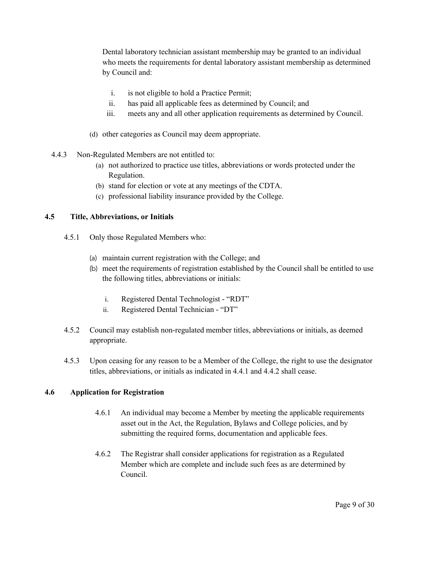Dental laboratory technician assistant membership may be granted to an individual who meets the requirements for dental laboratory assistant membership as determined by Council and:

- i. is not eligible to hold a Practice Permit;
- ii. has paid all applicable fees as determined by Council; and
- iii. meets any and all other application requirements as determined by Council.
- (d) other categories as Council may deem appropriate.
- 4.4.3 Non-Regulated Members are not entitled to:
	- (a) not authorized to practice use titles, abbreviations or words protected under the Regulation.
	- (b) stand for election or vote at any meetings of the CDTA.
	- (c) professional liability insurance provided by the College.

## **4.5 Title, Abbreviations, or Initials**

- 4.5.1 Only those Regulated Members who:
	- (a) maintain current registration with the College; and
	- (b) meet the requirements of registration established by the Council shall be entitled to use the following titles, abbreviations or initials:
		- i. Registered Dental Technologist "RDT"
		- ii. Registered Dental Technician "DT"
- 4.5.2 Council may establish non-regulated member titles, abbreviations or initials, as deemed appropriate.
- 4.5.3 Upon ceasing for any reason to be a Member of the College, the right to use the designator titles, abbreviations, or initials as indicated in 4.4.1 and 4.4.2 shall cease.

# **4.6 Application for Registration**

- 4.6.1 An individual may become a Member by meeting the applicable requirements asset out in the Act, the Regulation, Bylaws and College policies, and by submitting the required forms, documentation and applicable fees.
- 4.6.2 The Registrar shall consider applications for registration as a Regulated Member which are complete and include such fees as are determined by Council.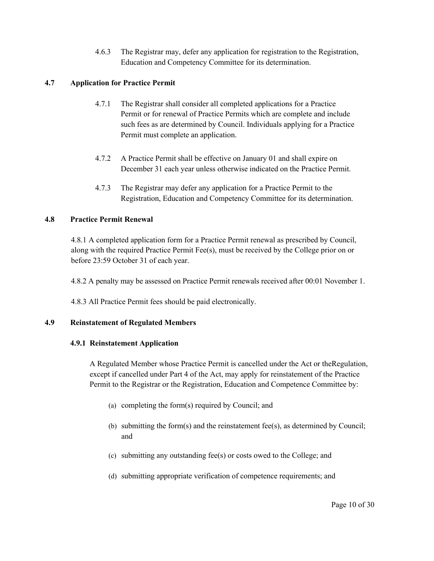4.6.3 The Registrar may, defer any application for registration to the Registration, Education and Competency Committee for its determination.

# **4.7 Application for Practice Permit**

- 4.7.1 The Registrar shall consider all completed applications for a Practice Permit or for renewal of Practice Permits which are complete and include such fees as are determined by Council. Individuals applying for a Practice Permit must complete an application.
- 4.7.2 A Practice Permit shall be effective on January 01 and shall expire on December 31 each year unless otherwise indicated on the Practice Permit.
- 4.7.3 The Registrar may defer any application for a Practice Permit to the Registration, Education and Competency Committee for its determination.

# **4.8 Practice Permit Renewal**

4.8.1 A completed application form for a Practice Permit renewal as prescribed by Council, along with the required Practice Permit Fee(s), must be received by the College prior on or before 23:59 October 31 of each year.

4.8.2 A penalty may be assessed on Practice Permit renewals received after 00:01 November 1.

4.8.3 All Practice Permit fees should be paid electronically.

# **4.9 Reinstatement of Regulated Members**

# **4.9.1 Reinstatement Application**

A Regulated Member whose Practice Permit is cancelled under the Act or theRegulation, except if cancelled under Part 4 of the Act, may apply for reinstatement of the Practice Permit to the Registrar or the Registration, Education and Competence Committee by:

- (a) completing the form(s) required by Council; and
- (b) submitting the form(s) and the reinstatement fee(s), as determined by Council; and
- (c) submitting any outstanding fee(s) or costs owed to the College; and
- (d) submitting appropriate verification of competence requirements; and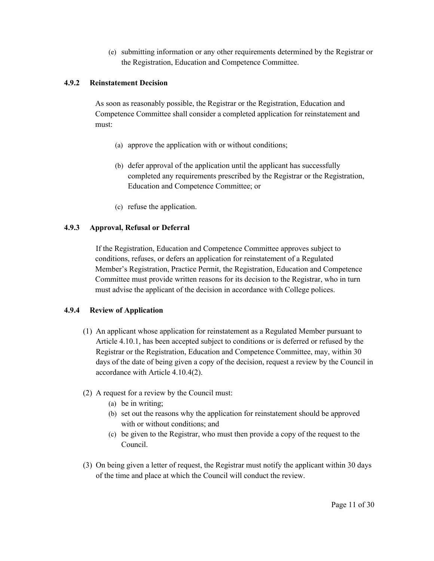(e) submitting information or any other requirements determined by the Registrar or the Registration, Education and Competence Committee.

## **4.9.2 Reinstatement Decision**

As soon as reasonably possible, the Registrar or the Registration, Education and Competence Committee shall consider a completed application for reinstatement and must:

- (a) approve the application with or without conditions;
- (b) defer approval of the application until the applicant has successfully completed any requirements prescribed by the Registrar or the Registration, Education and Competence Committee; or
- (c) refuse the application.

# **4.9.3 Approval, Refusal or Deferral**

If the Registration, Education and Competence Committee approves subject to conditions, refuses, or defers an application for reinstatement of a Regulated Member's Registration, Practice Permit, the Registration, Education and Competence Committee must provide written reasons for its decision to the Registrar, who in turn must advise the applicant of the decision in accordance with College polices.

# **4.9.4 Review of Application**

- (1) An applicant whose application for reinstatement as a Regulated Member pursuant to Article 4.10.1, has been accepted subject to conditions or is deferred or refused by the Registrar or the Registration, Education and Competence Committee, may, within 30 days of the date of being given a copy of the decision, request a review by the Council in accordance with Article 4.10.4(2).
- (2) A request for a review by the Council must:
	- (a) be in writing;
	- (b) set out the reasons why the application for reinstatement should be approved with or without conditions; and
	- (c) be given to the Registrar, who must then provide a copy of the request to the Council.
- (3) On being given a letter of request, the Registrar must notify the applicant within 30 days of the time and place at which the Council will conduct the review.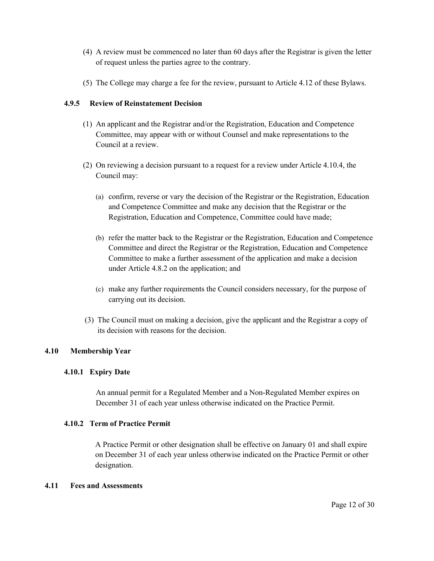- (4) A review must be commenced no later than 60 days after the Registrar is given the letter of request unless the parties agree to the contrary.
- (5) The College may charge a fee for the review, pursuant to Article 4.12 of these Bylaws.

# **4.9.5 Review of Reinstatement Decision**

- (1) An applicant and the Registrar and/or the Registration, Education and Competence Committee, may appear with or without Counsel and make representations to the Council at a review.
- (2) On reviewing a decision pursuant to a request for a review under Article 4.10.4, the Council may:
	- (a) confirm, reverse or vary the decision of the Registrar or the Registration, Education and Competence Committee and make any decision that the Registrar or the Registration, Education and Competence, Committee could have made;
	- (b) refer the matter back to the Registrar or the Registration, Education and Competence Committee and direct the Registrar or the Registration, Education and Competence Committee to make a further assessment of the application and make a decision under Article 4.8.2 on the application; and
	- (c) make any further requirements the Council considers necessary, for the purpose of carrying out its decision.
- (3) The Council must on making a decision, give the applicant and the Registrar a copy of its decision with reasons for the decision.

# **4.10 Membership Year**

## **4.10.1 Expiry Date**

An annual permit for a Regulated Member and a Non-Regulated Member expires on December 31 of each year unless otherwise indicated on the Practice Permit.

# **4.10.2 Term of Practice Permit**

A Practice Permit or other designation shall be effective on January 01 and shall expire on December 31 of each year unless otherwise indicated on the Practice Permit or other designation.

# **4.11 Fees and Assessments**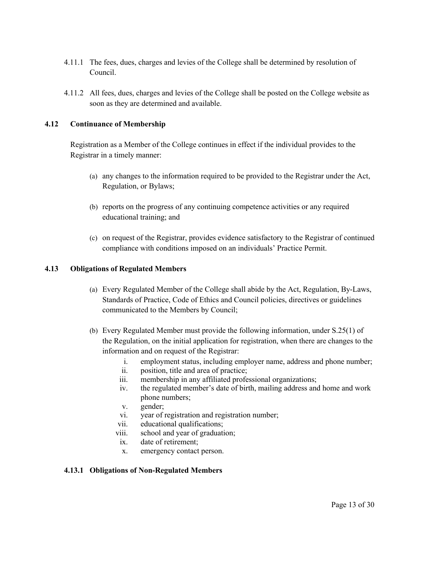- 4.11.1 The fees, dues, charges and levies of the College shall be determined by resolution of Council.
- 4.11.2 All fees, dues, charges and levies of the College shall be posted on the College website as soon as they are determined and available.

## **4.12 Continuance of Membership**

Registration as a Member of the College continues in effect if the individual provides to the Registrar in a timely manner:

- (a) any changes to the information required to be provided to the Registrar under the Act, Regulation, or Bylaws;
- (b) reports on the progress of any continuing competence activities or any required educational training; and
- (c) on request of the Registrar, provides evidence satisfactory to the Registrar of continued compliance with conditions imposed on an individuals' Practice Permit.

## **4.13 Obligations of Regulated Members**

- (a) Every Regulated Member of the College shall abide by the Act, Regulation, By-Laws, Standards of Practice, Code of Ethics and Council policies, directives or guidelines communicated to the Members by Council;
- (b) Every Regulated Member must provide the following information, under S.25(1) of the Regulation, on the initial application for registration, when there are changes to the information and on request of the Registrar:
	- i. employment status, including employer name, address and phone number;
	- ii. position, title and area of practice;
	- iii. membership in any affiliated professional organizations;
	- iv. the regulated member's date of birth, mailing address and home and work phone numbers;
	- v. gender;
	- vi. year of registration and registration number;
	- vii. educational qualifications;
	- viii. school and year of graduation;
	- ix. date of retirement;
	- x. emergency contact person.

### **4.13.1 Obligations of Non-Regulated Members**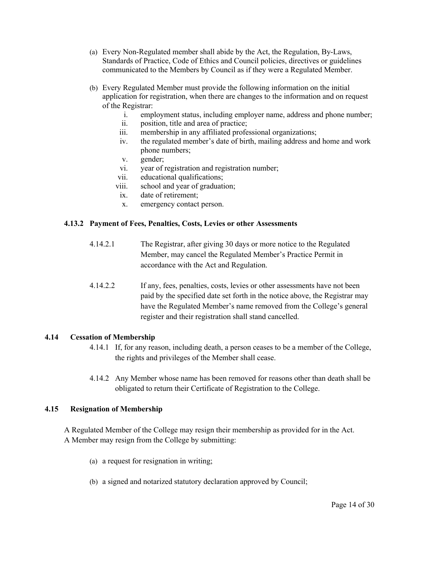- (a) Every Non-Regulated member shall abide by the Act, the Regulation, By-Laws, Standards of Practice, Code of Ethics and Council policies, directives or guidelines communicated to the Members by Council as if they were a Regulated Member.
- (b) Every Regulated Member must provide the following information on the initial application for registration, when there are changes to the information and on request of the Registrar:
	- i. employment status, including employer name, address and phone number;
	- ii. position, title and area of practice;
	- iii. membership in any affiliated professional organizations;
	- iv. the regulated member's date of birth, mailing address and home and work phone numbers;
	- v. gender;
	- vi. year of registration and registration number;
	- vii. educational qualifications;
	- viii. school and year of graduation;
	- ix. date of retirement;
	- x. emergency contact person.

### **4.13.2 Payment of Fees, Penalties, Costs, Levies or other Assessments**

- 4.14.2.1 The Registrar, after giving 30 days or more notice to the Regulated Member, may cancel the Regulated Member's Practice Permit in accordance with the Act and Regulation.
- 4.14.2.2 If any, fees, penalties, costs, levies or other assessments have not been paid by the specified date set forth in the notice above, the Registrar may have the Regulated Member's name removed from the College's general register and their registration shall stand cancelled.

# **4.14 Cessation of Membership**

- 4.14.1 If, for any reason, including death, a person ceases to be a member of the College, the rights and privileges of the Member shall cease.
- 4.14.2 Any Member whose name has been removed for reasons other than death shall be obligated to return their Certificate of Registration to the College.

# **4.15 Resignation of Membership**

A Regulated Member of the College may resign their membership as provided for in the Act. A Member may resign from the College by submitting:

- (a) a request for resignation in writing;
- (b) a signed and notarized statutory declaration approved by Council;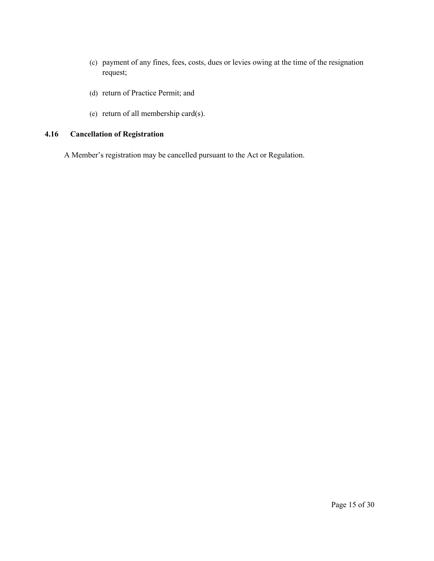- (c) payment of any fines, fees, costs, dues or levies owing at the time of the resignation request;
- (d) return of Practice Permit; and
- (e) return of all membership card(s).

# **4.16 Cancellation of Registration**

A Member's registration may be cancelled pursuant to the Act or Regulation.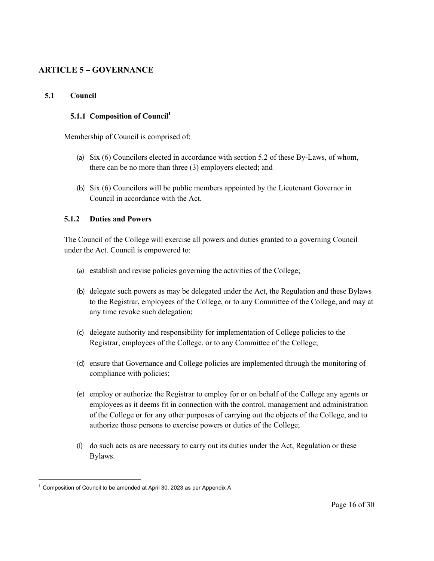# **ARTICLE 5 – GOVERNANCE**

## **5.1 Council**

## **5.1.1 Composition of Council**<sup>1</sup>

Membership of Council is comprised of:

- (a) Six (6) Councilors elected in accordance with section 5.2 of these By-Laws, of whom, there can be no more than three (3) employers elected; and
- (b) Six (6) Councilors will be public members appointed by the Lieutenant Governor in Council in accordance with the Act.

## **5.1.2 Duties and Powers**

The Council of the College will exercise all powers and duties granted to a governing Council under the Act. Council is empowered to:

- (a) establish and revise policies governing the activities of the College;
- (b) delegate such powers as may be delegated under the Act, the Regulation and these Bylaws to the Registrar, employees of the College, or to any Committee of the College, and may at any time revoke such delegation;
- (c) delegate authority and responsibility for implementation of College policies to the Registrar, employees of the College, or to any Committee of the College;
- (d) ensure that Governance and College policies are implemented through the monitoring of compliance with policies;
- (e) employ or authorize the Registrar to employ for or on behalf of the College any agents or employees as it deems fit in connection with the control, management and administration of the College or for any other purposes of carrying out the objects of the College, and to authorize those persons to exercise powers or duties of the College;
- (f) do such acts as are necessary to carry out its duties under the Act, Regulation or these Bylaws.

<sup>1</sup> Composition of Council to be amended at April 30, 2023 as per Appendix A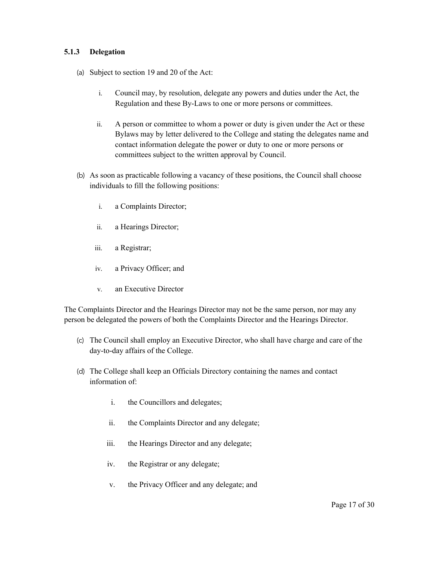## **5.1.3 Delegation**

- (a) Subject to section 19 and 20 of the Act:
	- i. Council may, by resolution, delegate any powers and duties under the Act, the Regulation and these By-Laws to one or more persons or committees.
	- ii. A person or committee to whom a power or duty is given under the Act or these Bylaws may by letter delivered to the College and stating the delegates name and contact information delegate the power or duty to one or more persons or committees subject to the written approval by Council.
- (b) As soon as practicable following a vacancy of these positions, the Council shall choose individuals to fill the following positions:
	- i. a Complaints Director;
	- ii. a Hearings Director;
	- iii. a Registrar;
	- iv. a Privacy Officer; and
	- v. an Executive Director

The Complaints Director and the Hearings Director may not be the same person, nor may any person be delegated the powers of both the Complaints Director and the Hearings Director.

- (c) The Council shall employ an Executive Director, who shall have charge and care of the day-to-day affairs of the College.
- (d) The College shall keep an Officials Directory containing the names and contact information of:
	- i. the Councillors and delegates;
	- ii. the Complaints Director and any delegate;
	- iii. the Hearings Director and any delegate;
	- iv. the Registrar or any delegate;
	- v. the Privacy Officer and any delegate; and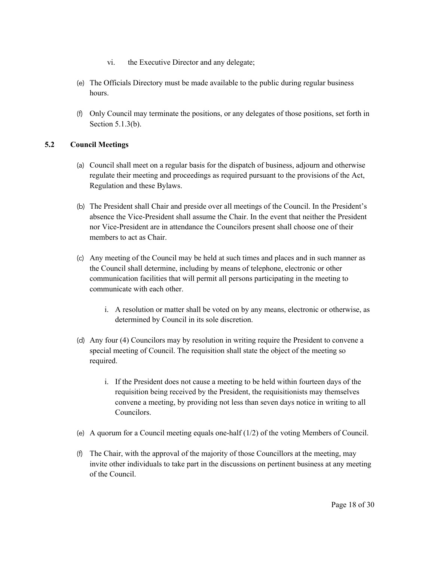- vi. the Executive Director and any delegate;
- (e) The Officials Directory must be made available to the public during regular business hours.
- (f) Only Council may terminate the positions, or any delegates of those positions, set forth in Section 5.1.3(b).

# **5.2 Council Meetings**

- (a) Council shall meet on a regular basis for the dispatch of business, adjourn and otherwise regulate their meeting and proceedings as required pursuant to the provisions of the Act, Regulation and these Bylaws.
- (b) The President shall Chair and preside over all meetings of the Council. In the President's absence the Vice-President shall assume the Chair. In the event that neither the President nor Vice-President are in attendance the Councilors present shall choose one of their members to act as Chair.
- (c) Any meeting of the Council may be held at such times and places and in such manner as the Council shall determine, including by means of telephone, electronic or other communication facilities that will permit all persons participating in the meeting to communicate with each other.
	- i. A resolution or matter shall be voted on by any means, electronic or otherwise, as determined by Council in its sole discretion.
- (d) Any four (4) Councilors may by resolution in writing require the President to convene a special meeting of Council. The requisition shall state the object of the meeting so required.
	- i. If the President does not cause a meeting to be held within fourteen days of the requisition being received by the President, the requisitionists may themselves convene a meeting, by providing not less than seven days notice in writing to all Councilors.
- (e) A quorum for a Council meeting equals one-half  $(1/2)$  of the voting Members of Council.
- (f) The Chair, with the approval of the majority of those Councillors at the meeting, may invite other individuals to take part in the discussions on pertinent business at any meeting of the Council.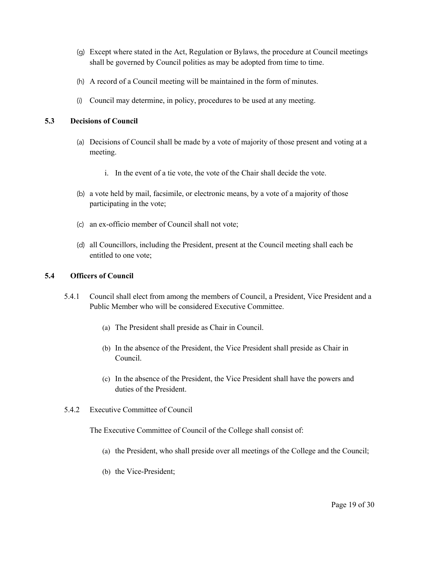- (g) Except where stated in the Act, Regulation or Bylaws, the procedure at Council meetings shall be governed by Council polities as may be adopted from time to time.
- (h) A record of a Council meeting will be maintained in the form of minutes.
- (i) Council may determine, in policy, procedures to be used at any meeting.

## **5.3 Decisions of Council**

- (a) Decisions of Council shall be made by a vote of majority of those present and voting at a meeting.
	- i. In the event of a tie vote, the vote of the Chair shall decide the vote.
- (b) a vote held by mail, facsimile, or electronic means, by a vote of a majority of those participating in the vote;
- (c) an ex-officio member of Council shall not vote;
- (d) all Councillors, including the President, present at the Council meeting shall each be entitled to one vote;

## **5.4 Officers of Council**

- 5.4.1 Council shall elect from among the members of Council, a President, Vice President and a Public Member who will be considered Executive Committee.
	- (a) The President shall preside as Chair in Council.
	- (b) In the absence of the President, the Vice President shall preside as Chair in Council.
	- (c) In the absence of the President, the Vice President shall have the powers and duties of the President.
- 5.4.2 Executive Committee of Council

The Executive Committee of Council of the College shall consist of:

- (a) the President, who shall preside over all meetings of the College and the Council;
- (b) the Vice-President;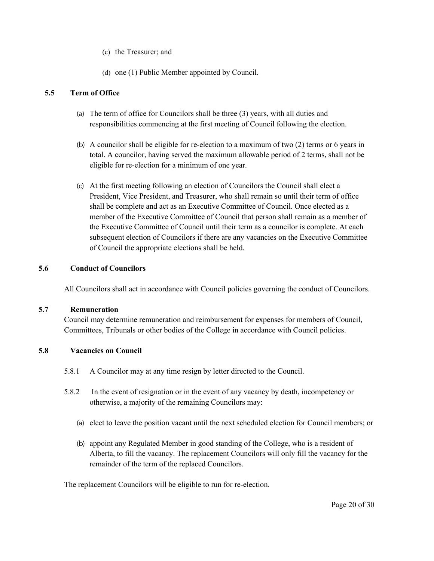- (c) the Treasurer; and
- (d) one (1) Public Member appointed by Council.

# **5.5 Term of Office**

- (a) The term of office for Councilors shall be three (3) years, with all duties and responsibilities commencing at the first meeting of Council following the election.
- (b) A councilor shall be eligible for re-election to a maximum of two (2) terms or 6 years in total. A councilor, having served the maximum allowable period of 2 terms, shall not be eligible for re-election for a minimum of one year.
- (c) At the first meeting following an election of Councilors the Council shall elect a President, Vice President, and Treasurer, who shall remain so until their term of office shall be complete and act as an Executive Committee of Council. Once elected as a member of the Executive Committee of Council that person shall remain as a member of the Executive Committee of Council until their term as a councilor is complete. At each subsequent election of Councilors if there are any vacancies on the Executive Committee of Council the appropriate elections shall be held.

## **5.6 Conduct of Councilors**

All Councilors shall act in accordance with Council policies governing the conduct of Councilors.

### **5.7 Remuneration**

Council may determine remuneration and reimbursement for expenses for members of Council, Committees, Tribunals or other bodies of the College in accordance with Council policies.

# **5.8 Vacancies on Council**

- 5.8.1 A Councilor may at any time resign by letter directed to the Council.
- 5.8.2 In the event of resignation or in the event of any vacancy by death, incompetency or otherwise, a majority of the remaining Councilors may:
	- (a) elect to leave the position vacant until the next scheduled election for Council members; or
	- (b) appoint any Regulated Member in good standing of the College, who is a resident of Alberta, to fill the vacancy. The replacement Councilors will only fill the vacancy for the remainder of the term of the replaced Councilors.

The replacement Councilors will be eligible to run for re-election.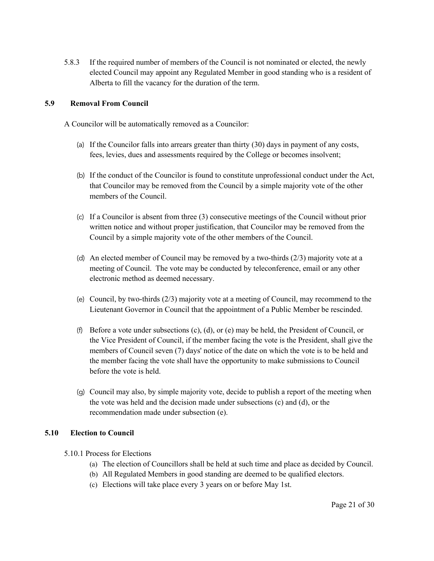5.8.3 If the required number of members of the Council is not nominated or elected, the newly elected Council may appoint any Regulated Member in good standing who is a resident of Alberta to fill the vacancy for the duration of the term.

# **5.9 Removal From Council**

A Councilor will be automatically removed as a Councilor:

- (a) If the Councilor falls into arrears greater than thirty (30) days in payment of any costs, fees, levies, dues and assessments required by the College or becomes insolvent;
- (b) If the conduct of the Councilor is found to constitute unprofessional conduct under the Act, that Councilor may be removed from the Council by a simple majority vote of the other members of the Council.
- (c) If a Councilor is absent from three (3) consecutive meetings of the Council without prior written notice and without proper justification, that Councilor may be removed from the Council by a simple majority vote of the other members of the Council.
- (d) An elected member of Council may be removed by a two-thirds (2/3) majority vote at a meeting of Council. The vote may be conducted by teleconference, email or any other electronic method as deemed necessary.
- (e) Council, by two-thirds (2/3) majority vote at a meeting of Council, may recommend to the Lieutenant Governor in Council that the appointment of a Public Member be rescinded.
- (f) Before a vote under subsections  $(c)$ ,  $(d)$ , or  $(e)$  may be held, the President of Council, or the Vice President of Council, if the member facing the vote is the President, shall give the members of Council seven (7) days' notice of the date on which the vote is to be held and the member facing the vote shall have the opportunity to make submissions to Council before the vote is held.
- (g) Council may also, by simple majority vote, decide to publish a report of the meeting when the vote was held and the decision made under subsections (c) and (d), or the recommendation made under subsection (e).

# **5.10 Election to Council**

- 5.10.1 Process for Elections
	- (a) The election of Councillors shall be held at such time and place as decided by Council.
	- (b) All Regulated Members in good standing are deemed to be qualified electors.
	- (c) Elections will take place every 3 years on or before May 1st.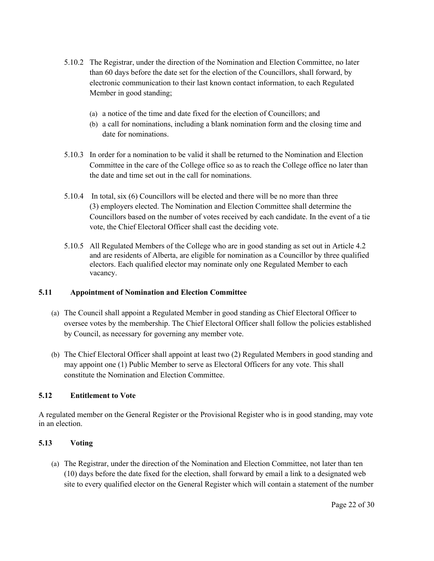- 5.10.2 The Registrar, under the direction of the Nomination and Election Committee, no later than 60 days before the date set for the election of the Councillors, shall forward, by electronic communication to their last known contact information, to each Regulated Member in good standing;
	- (a) a notice of the time and date fixed for the election of Councillors; and
	- (b) a call for nominations, including a blank nomination form and the closing time and date for nominations.
- 5.10.3 In order for a nomination to be valid it shall be returned to the Nomination and Election Committee in the care of the College office so as to reach the College office no later than the date and time set out in the call for nominations.
- 5.10.4 In total, six (6) Councillors will be elected and there will be no more than three (3) employers elected. The Nomination and Election Committee shall determine the Councillors based on the number of votes received by each candidate. In the event of a tie vote, the Chief Electoral Officer shall cast the deciding vote.
- 5.10.5 All Regulated Members of the College who are in good standing as set out in Article 4.2 and are residents of Alberta, are eligible for nomination as a Councillor by three qualified electors. Each qualified elector may nominate only one Regulated Member to each vacancy.

# **5.11 Appointment of Nomination and Election Committee**

- (a) The Council shall appoint a Regulated Member in good standing as Chief Electoral Officer to oversee votes by the membership. The Chief Electoral Officer shall follow the policies established by Council, as necessary for governing any member vote.
- (b) The Chief Electoral Officer shall appoint at least two (2) Regulated Members in good standing and may appoint one (1) Public Member to serve as Electoral Officers for any vote. This shall constitute the Nomination and Election Committee.

# **5.12 Entitlement to Vote**

A regulated member on the General Register or the Provisional Register who is in good standing, may vote in an election.

# **5.13 Voting**

(a) The Registrar, under the direction of the Nomination and Election Committee, not later than ten (10) days before the date fixed for the election, shall forward by email a link to a designated web site to every qualified elector on the General Register which will contain a statement of the number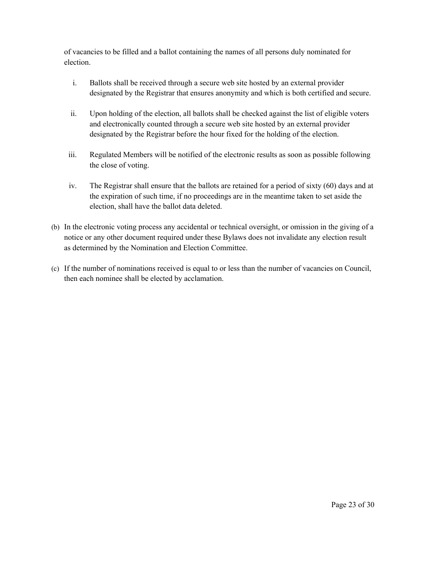of vacancies to be filled and a ballot containing the names of all persons duly nominated for election.

- i. Ballots shall be received through a secure web site hosted by an external provider designated by the Registrar that ensures anonymity and which is both certified and secure.
- ii. Upon holding of the election, all ballots shall be checked against the list of eligible voters and electronically counted through a secure web site hosted by an external provider designated by the Registrar before the hour fixed for the holding of the election.
- iii. Regulated Members will be notified of the electronic results as soon as possible following the close of voting.
- iv. The Registrar shall ensure that the ballots are retained for a period of sixty (60) days and at the expiration of such time, if no proceedings are in the meantime taken to set aside the election, shall have the ballot data deleted.
- (b) In the electronic voting process any accidental or technical oversight, or omission in the giving of a notice or any other document required under these Bylaws does not invalidate any election result as determined by the Nomination and Election Committee.
- (c) If the number of nominations received is equal to or less than the number of vacancies on Council, then each nominee shall be elected by acclamation.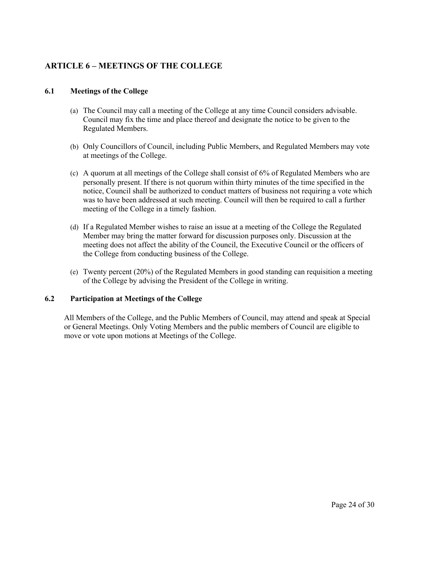# **ARTICLE 6 – MEETINGS OF THE COLLEGE**

## **6.1 Meetings of the College**

- (a) The Council may call a meeting of the College at any time Council considers advisable. Council may fix the time and place thereof and designate the notice to be given to the Regulated Members.
- (b) Only Councillors of Council, including Public Members, and Regulated Members may vote at meetings of the College.
- (c) A quorum at all meetings of the College shall consist of 6% of Regulated Members who are personally present. If there is not quorum within thirty minutes of the time specified in the notice, Council shall be authorized to conduct matters of business not requiring a vote which was to have been addressed at such meeting. Council will then be required to call a further meeting of the College in a timely fashion.
- (d) If a Regulated Member wishes to raise an issue at a meeting of the College the Regulated Member may bring the matter forward for discussion purposes only. Discussion at the meeting does not affect the ability of the Council, the Executive Council or the officers of the College from conducting business of the College.
- (e) Twenty percent (20%) of the Regulated Members in good standing can requisition a meeting of the College by advising the President of the College in writing.

# **6.2 Participation at Meetings of the College**

All Members of the College, and the Public Members of Council, may attend and speak at Special or General Meetings. Only Voting Members and the public members of Council are eligible to move or vote upon motions at Meetings of the College.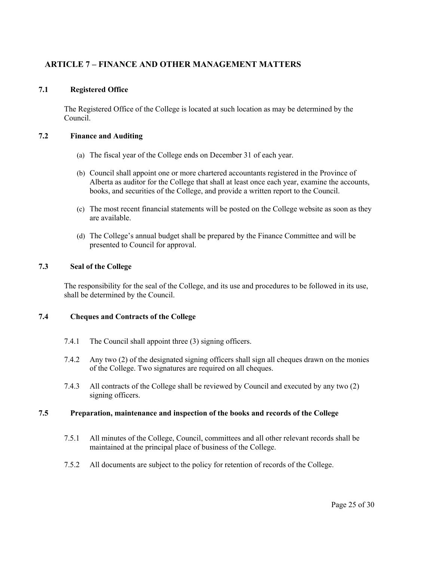# **ARTICLE 7 – FINANCE AND OTHER MANAGEMENT MATTERS**

# **7.1 Registered Office**

The Registered Office of the College is located at such location as may be determined by the Council.

## **7.2 Finance and Auditing**

- (a) The fiscal year of the College ends on December 31 of each year.
- (b) Council shall appoint one or more chartered accountants registered in the Province of Alberta as auditor for the College that shall at least once each year, examine the accounts, books, and securities of the College, and provide a written report to the Council.
- (c) The most recent financial statements will be posted on the College website as soon as they are available.
- (d) The College's annual budget shall be prepared by the Finance Committee and will be presented to Council for approval.

### **7.3 Seal of the College**

The responsibility for the seal of the College, and its use and procedures to be followed in its use, shall be determined by the Council.

### **7.4 Cheques and Contracts of the College**

- 7.4.1 The Council shall appoint three (3) signing officers.
- 7.4.2 Any two (2) of the designated signing officers shall sign all cheques drawn on the monies of the College. Two signatures are required on all cheques.
- 7.4.3 All contracts of the College shall be reviewed by Council and executed by any two (2) signing officers.

## **7.5 Preparation, maintenance and inspection of the books and records of the College**

- 7.5.1 All minutes of the College, Council, committees and all other relevant records shall be maintained at the principal place of business of the College.
- 7.5.2 All documents are subject to the policy for retention of records of the College.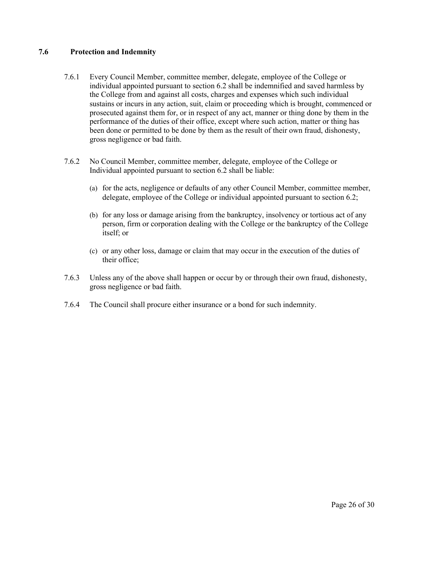# **7.6 Protection and Indemnity**

- 7.6.1 Every Council Member, committee member, delegate, employee of the College or individual appointed pursuant to section 6.2 shall be indemnified and saved harmless by the College from and against all costs, charges and expenses which such individual sustains or incurs in any action, suit, claim or proceeding which is brought, commenced or prosecuted against them for, or in respect of any act, manner or thing done by them in the performance of the duties of their office, except where such action, matter or thing has been done or permitted to be done by them as the result of their own fraud, dishonesty, gross negligence or bad faith.
- 7.6.2 No Council Member, committee member, delegate, employee of the College or Individual appointed pursuant to section 6.2 shall be liable:
	- (a) for the acts, negligence or defaults of any other Council Member, committee member, delegate, employee of the College or individual appointed pursuant to section 6.2;
	- (b) for any loss or damage arising from the bankruptcy, insolvency or tortious act of any person, firm or corporation dealing with the College or the bankruptcy of the College itself; or
	- (c) or any other loss, damage or claim that may occur in the execution of the duties of their office;
- 7.6.3 Unless any of the above shall happen or occur by or through their own fraud, dishonesty, gross negligence or bad faith.
- 7.6.4 The Council shall procure either insurance or a bond for such indemnity.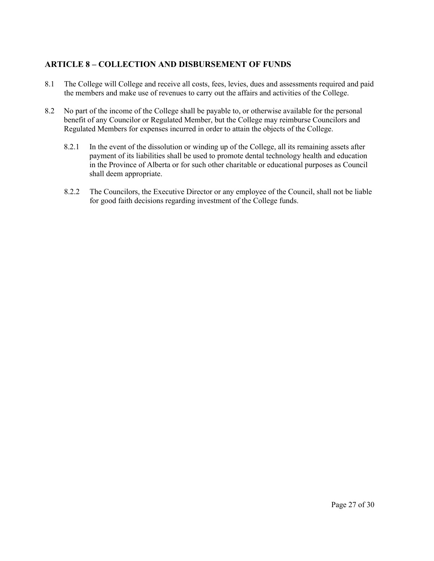# **ARTICLE 8 – COLLECTION AND DISBURSEMENT OF FUNDS**

- 8.1 The College will College and receive all costs, fees, levies, dues and assessments required and paid the members and make use of revenues to carry out the affairs and activities of the College.
- 8.2 No part of the income of the College shall be payable to, or otherwise available for the personal benefit of any Councilor or Regulated Member, but the College may reimburse Councilors and Regulated Members for expenses incurred in order to attain the objects of the College.
	- 8.2.1 In the event of the dissolution or winding up of the College, all its remaining assets after payment of its liabilities shall be used to promote dental technology health and education in the Province of Alberta or for such other charitable or educational purposes as Council shall deem appropriate.
	- 8.2.2 The Councilors, the Executive Director or any employee of the Council, shall not be liable for good faith decisions regarding investment of the College funds.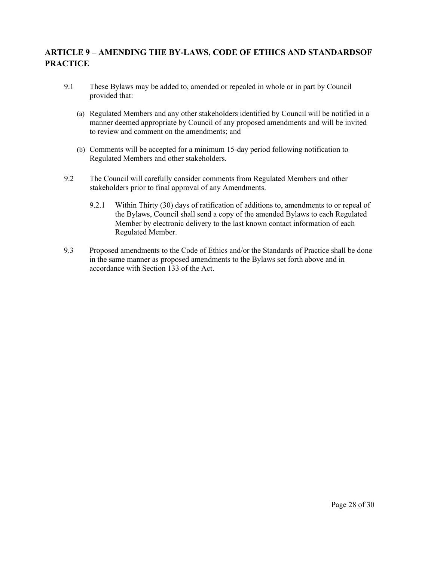# **ARTICLE 9 – AMENDING THE BY-LAWS, CODE OF ETHICS AND STANDARDSOF PRACTICE**

- 9.1 These Bylaws may be added to, amended or repealed in whole or in part by Council provided that:
	- (a) Regulated Members and any other stakeholders identified by Council will be notified in a manner deemed appropriate by Council of any proposed amendments and will be invited to review and comment on the amendments; and
	- (b) Comments will be accepted for a minimum 15-day period following notification to Regulated Members and other stakeholders.
- 9.2 The Council will carefully consider comments from Regulated Members and other stakeholders prior to final approval of any Amendments.
	- 9.2.1 Within Thirty (30) days of ratification of additions to, amendments to or repeal of the Bylaws, Council shall send a copy of the amended Bylaws to each Regulated Member by electronic delivery to the last known contact information of each Regulated Member.
- 9.3 Proposed amendments to the Code of Ethics and/or the Standards of Practice shall be done in the same manner as proposed amendments to the Bylaws set forth above and in accordance with Section 133 of the Act.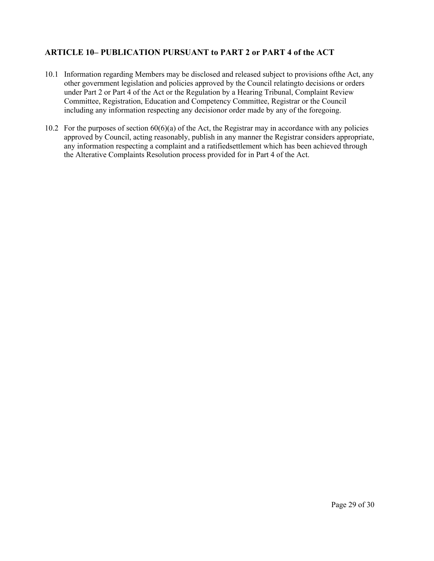# **ARTICLE 10– PUBLICATION PURSUANT to PART 2 or PART 4 of the ACT**

- 10.1 Information regarding Members may be disclosed and released subject to provisions ofthe Act, any other government legislation and policies approved by the Council relatingto decisions or orders under Part 2 or Part 4 of the Act or the Regulation by a Hearing Tribunal, Complaint Review Committee, Registration, Education and Competency Committee, Registrar or the Council including any information respecting any decisionor order made by any of the foregoing.
- 10.2 For the purposes of section 60(6)(a) of the Act, the Registrar may in accordance with any policies approved by Council, acting reasonably, publish in any manner the Registrar considers appropriate, any information respecting a complaint and a ratifiedsettlement which has been achieved through the Alterative Complaints Resolution process provided for in Part 4 of the Act.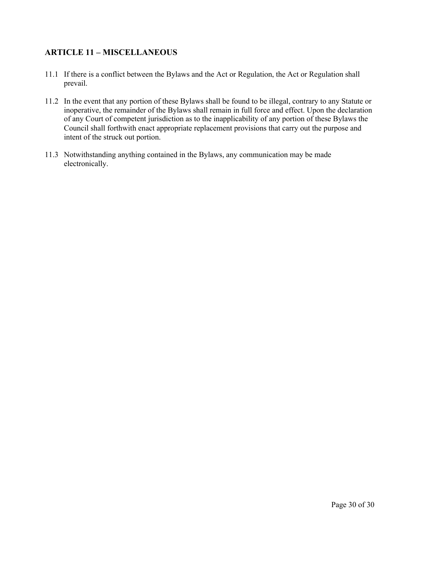# **ARTICLE 11 – MISCELLANEOUS**

- 11.1 If there is a conflict between the Bylaws and the Act or Regulation, the Act or Regulation shall prevail.
- 11.2 In the event that any portion of these Bylaws shall be found to be illegal, contrary to any Statute or inoperative, the remainder of the Bylaws shall remain in full force and effect. Upon the declaration of any Court of competent jurisdiction as to the inapplicability of any portion of these Bylaws the Council shall forthwith enact appropriate replacement provisions that carry out the purpose and intent of the struck out portion.
- 11.3 Notwithstanding anything contained in the Bylaws, any communication may be made electronically.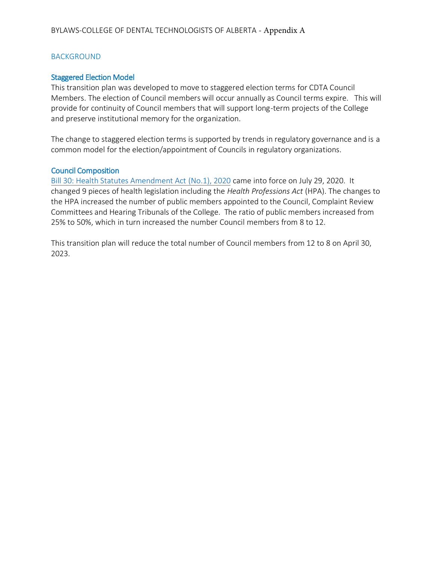# BACKGROUND

# Staggered Election Model

This transition plan was developed to move to staggered election terms for CDTA Council Members. The election of Council members will occur annually as Council terms expire. This will provide for continuity of Council members that will support long-term projects of the College and preserve institutional memory for the organization.

The change to staggered election terms is supported by trends in regulatory governance and is a common model for the election/appointment of Councils in regulatory organizations.

# Council Composition

[Bill 30: Health Statutes Amendment Act \(No.1\), 2020](https://www.assembly.ab.ca/assembly-business/bills/bill?billinfoid=11863&from=bills) came into force on July 29, 2020. It changed 9 pieces of health legislation including the *Health Professions Act* (HPA). The changes to the HPA increased the number of public members appointed to the Council, Complaint Review Committees and Hearing Tribunals of the College. The ratio of public members increased from 25% to 50%, which in turn increased the number Council members from 8 to 12.

This transition plan will reduce the total number of Council members from 12 to 8 on April 30, 2023.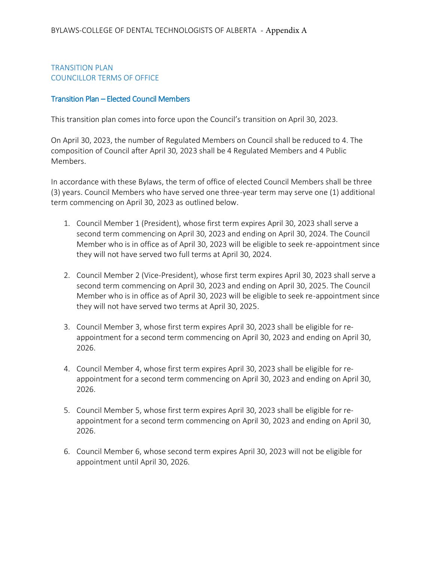# TRANSITION PLAN COUNCILLOR TERMS OF OFFICE

# Transition Plan – Elected Council Members

This transition plan comes into force upon the Council's transition on April 30, 2023.

On April 30, 2023, the number of Regulated Members on Council shall be reduced to 4. The composition of Council after April 30, 2023 shall be 4 Regulated Members and 4 Public Members.

In accordance with these Bylaws, the term of office of elected Council Members shall be three (3) years. Council Members who have served one three-year term may serve one (1) additional term commencing on April 30, 2023 as outlined below.

- 1. Council Member 1 (President), whose first term expires April 30, 2023 shall serve a second term commencing on April 30, 2023 and ending on April 30, 2024. The Council Member who is in office as of April 30, 2023 will be eligible to seek re-appointment since they will not have served two full terms at April 30, 2024.
- 2. Council Member 2 (Vice-President), whose first term expires April 30, 2023 shall serve a second term commencing on April 30, 2023 and ending on April 30, 2025. The Council Member who is in office as of April 30, 2023 will be eligible to seek re-appointment since they will not have served two terms at April 30, 2025.
- 3. Council Member 3, whose first term expires April 30, 2023 shall be eligible for reappointment for a second term commencing on April 30, 2023 and ending on April 30, 2026.
- 4. Council Member 4, whose first term expires April 30, 2023 shall be eligible for reappointment for a second term commencing on April 30, 2023 and ending on April 30, 2026.
- 5. Council Member 5, whose first term expires April 30, 2023 shall be eligible for reappointment for a second term commencing on April 30, 2023 and ending on April 30, 2026.
- 6. Council Member 6, whose second term expires April 30, 2023 will not be eligible for appointment until April 30, 2026.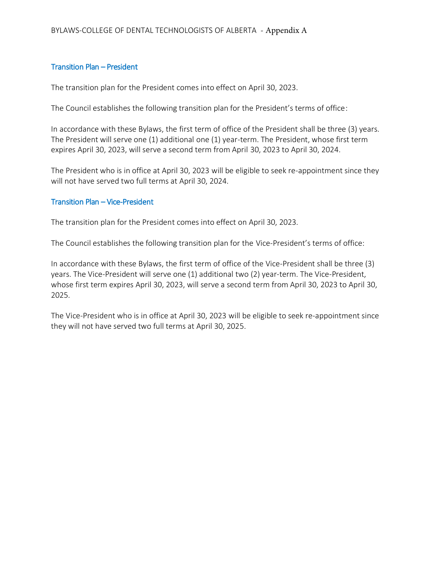# Transition Plan – President

The transition plan for the President comes into effect on April 30, 2023.

The Council establishes the following transition plan for the President's terms of office:

In accordance with these Bylaws, the first term of office of the President shall be three (3) years. The President will serve one (1) additional one (1) year-term. The President, whose first term expires April 30, 2023, will serve a second term from April 30, 2023 to April 30, 2024.

The President who is in office at April 30, 2023 will be eligible to seek re-appointment since they will not have served two full terms at April 30, 2024.

# Transition Plan – Vice-President

The transition plan for the President comes into effect on April 30, 2023.

The Council establishes the following transition plan for the Vice-President's terms of office:

In accordance with these Bylaws, the first term of office of the Vice-President shall be three (3) years. The Vice-President will serve one (1) additional two (2) year-term. The Vice-President, whose first term expires April 30, 2023, will serve a second term from April 30, 2023 to April 30, 2025.

The Vice-President who is in office at April 30, 2023 will be eligible to seek re-appointment since they will not have served two full terms at April 30, 2025.